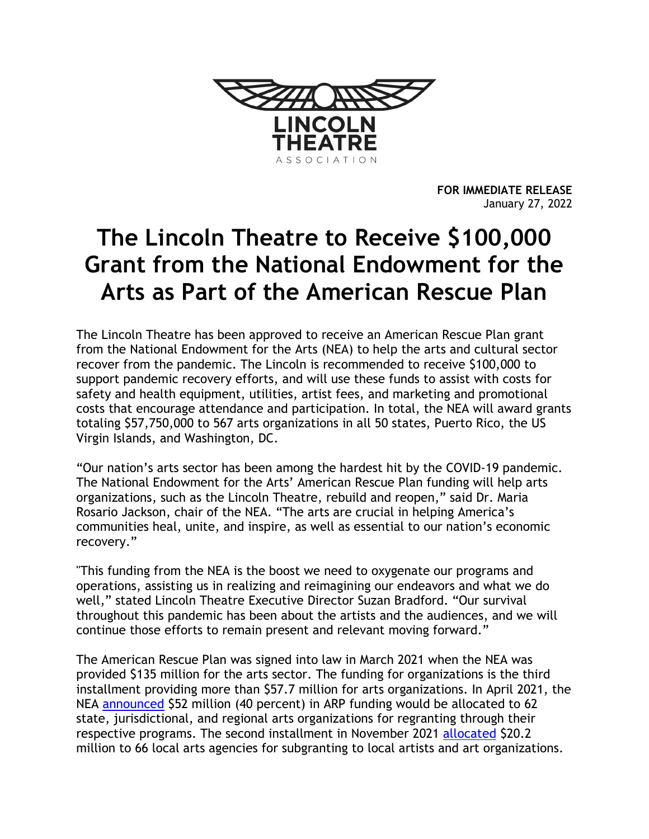

**FOR IMMEDIATE RELEASE** January 27, 2022

## **The Lincoln Theatre to Receive \$100,000 Grant from the National Endowment for the Arts as Part of the American Rescue Plan**

The Lincoln Theatre has been approved to receive an American Rescue Plan grant from the National Endowment for the Arts (NEA) to help the arts and cultural sector recover from the pandemic. The Lincoln is recommended to receive \$100,000 to support pandemic recovery efforts, and will use these funds to assist with costs for safety and health equipment, utilities, artist fees, and marketing and promotional costs that encourage attendance and participation. In total, the NEA will award grants totaling \$57,750,000 to 567 arts organizations in all 50 states, Puerto Rico, the US Virgin Islands, and Washington, DC.

"Our nation's arts sector has been among the hardest hit by the COVID-19 pandemic. The National Endowment for the Arts' American Rescue Plan funding will help arts organizations, such as the Lincoln Theatre, rebuild and reopen," said Dr. Maria Rosario Jackson, chair of the NEA. "The arts are crucial in helping America's communities heal, unite, and inspire, as well as essential to our nation's economic recovery."

"This funding from the NEA is the boost we need to oxygenate our programs and operations, assisting us in realizing and reimagining our endeavors and what we do well," stated Lincoln Theatre Executive Director Suzan Bradford. "Our survival throughout this pandemic has been about the artists and the audiences, and we will continue those efforts to remain present and relevant moving forward."

The American Rescue Plan was signed into law in March 2021 when the NEA was provided \$135 million for the arts sector. The funding for organizations is the third installment providing more than \$57.7 million for arts organizations. In April 2021, the NEA [announced](https://www.arts.gov/about/news/2021/first-phase-american-rescue-plan-funding-national-endowment-arts-announced) \$52 million (40 percent) in ARP funding would be allocated to 62 state, jurisdictional, and regional arts organizations for regranting through their respective programs. The second installment in November 2021 [allocated](https://www.arts.gov/about/news/2021/american-rescue-plan-grants-local-arts-agencies) \$20.2 million to 66 local arts agencies for subgranting to local artists and art organizations.